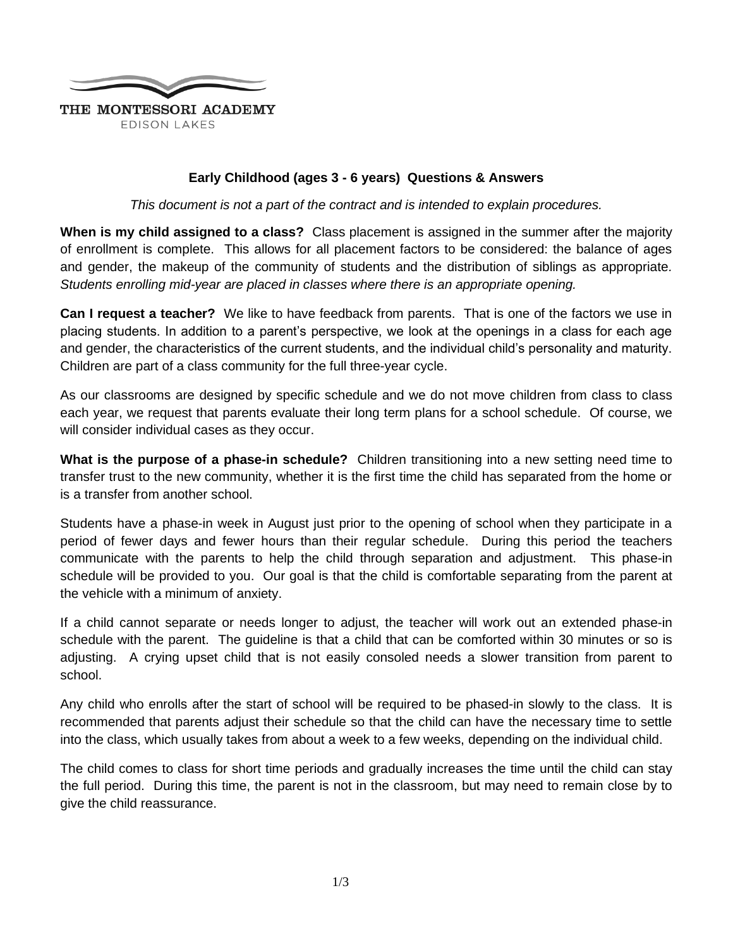

## **Early Childhood (ages 3 - 6 years) Questions & Answers**

*This document is not a part of the contract and is intended to explain procedures.*

**When is my child assigned to a class?** Class placement is assigned in the summer after the majority of enrollment is complete. This allows for all placement factors to be considered: the balance of ages and gender, the makeup of the community of students and the distribution of siblings as appropriate*. Students enrolling mid-year are placed in classes where there is an appropriate opening.*

**Can I request a teacher?** We like to have feedback from parents. That is one of the factors we use in placing students. In addition to a parent's perspective, we look at the openings in a class for each age and gender, the characteristics of the current students, and the individual child's personality and maturity. Children are part of a class community for the full three-year cycle.

As our classrooms are designed by specific schedule and we do not move children from class to class each year, we request that parents evaluate their long term plans for a school schedule. Of course, we will consider individual cases as they occur.

**What is the purpose of a phase-in schedule?** Children transitioning into a new setting need time to transfer trust to the new community, whether it is the first time the child has separated from the home or is a transfer from another school.

Students have a phase-in week in August just prior to the opening of school when they participate in a period of fewer days and fewer hours than their regular schedule. During this period the teachers communicate with the parents to help the child through separation and adjustment. This phase-in schedule will be provided to you. Our goal is that the child is comfortable separating from the parent at the vehicle with a minimum of anxiety.

If a child cannot separate or needs longer to adjust, the teacher will work out an extended phase-in schedule with the parent. The guideline is that a child that can be comforted within 30 minutes or so is adjusting. A crying upset child that is not easily consoled needs a slower transition from parent to school.

Any child who enrolls after the start of school will be required to be phased-in slowly to the class. It is recommended that parents adjust their schedule so that the child can have the necessary time to settle into the class, which usually takes from about a week to a few weeks, depending on the individual child.

The child comes to class for short time periods and gradually increases the time until the child can stay the full period. During this time, the parent is not in the classroom, but may need to remain close by to give the child reassurance.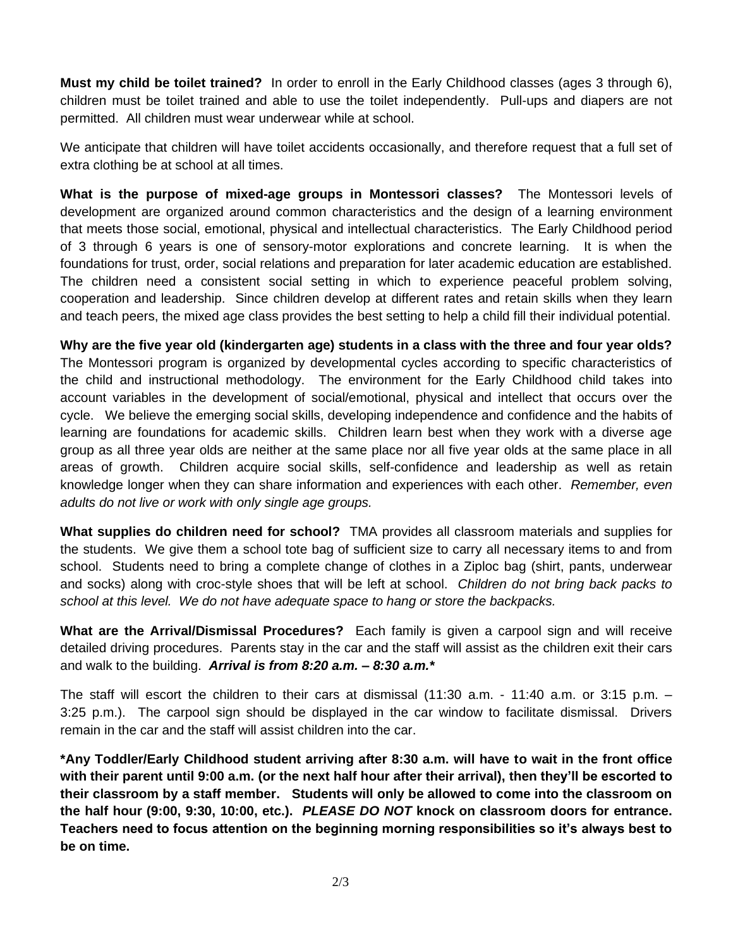**Must my child be toilet trained?** In order to enroll in the Early Childhood classes (ages 3 through 6), children must be toilet trained and able to use the toilet independently. Pull-ups and diapers are not permitted. All children must wear underwear while at school.

We anticipate that children will have toilet accidents occasionally, and therefore request that a full set of extra clothing be at school at all times.

**What is the purpose of mixed-age groups in Montessori classes?** The Montessori levels of development are organized around common characteristics and the design of a learning environment that meets those social, emotional, physical and intellectual characteristics. The Early Childhood period of 3 through 6 years is one of sensory-motor explorations and concrete learning. It is when the foundations for trust, order, social relations and preparation for later academic education are established. The children need a consistent social setting in which to experience peaceful problem solving, cooperation and leadership. Since children develop at different rates and retain skills when they learn and teach peers, the mixed age class provides the best setting to help a child fill their individual potential.

**Why are the five year old (kindergarten age) students in a class with the three and four year olds?** The Montessori program is organized by developmental cycles according to specific characteristics of the child and instructional methodology. The environment for the Early Childhood child takes into account variables in the development of social/emotional, physical and intellect that occurs over the cycle. We believe the emerging social skills, developing independence and confidence and the habits of learning are foundations for academic skills. Children learn best when they work with a diverse age group as all three year olds are neither at the same place nor all five year olds at the same place in all areas of growth. Children acquire social skills, self-confidence and leadership as well as retain knowledge longer when they can share information and experiences with each other. *Remember, even adults do not live or work with only single age groups.*

**What supplies do children need for school?** TMA provides all classroom materials and supplies for the students. We give them a school tote bag of sufficient size to carry all necessary items to and from school. Students need to bring a complete change of clothes in a Ziploc bag (shirt, pants, underwear and socks) along with croc-style shoes that will be left at school. *Children do not bring back packs to school at this level. We do not have adequate space to hang or store the backpacks.*

**What are the Arrival/Dismissal Procedures?** Each family is given a carpool sign and will receive detailed driving procedures. Parents stay in the car and the staff will assist as the children exit their cars and walk to the building. *Arrival is from 8:20 a.m. – 8:30 a.m.\**

The staff will escort the children to their cars at dismissal (11:30 a.m. - 11:40 a.m. or 3:15 p.m. – 3:25 p.m.). The carpool sign should be displayed in the car window to facilitate dismissal. Drivers remain in the car and the staff will assist children into the car.

**\*Any Toddler/Early Childhood student arriving after 8:30 a.m. will have to wait in the front office with their parent until 9:00 a.m. (or the next half hour after their arrival), then they'll be escorted to their classroom by a staff member. Students will only be allowed to come into the classroom on the half hour (9:00, 9:30, 10:00, etc.).** *PLEASE DO NOT* **knock on classroom doors for entrance. Teachers need to focus attention on the beginning morning responsibilities so it's always best to be on time.**